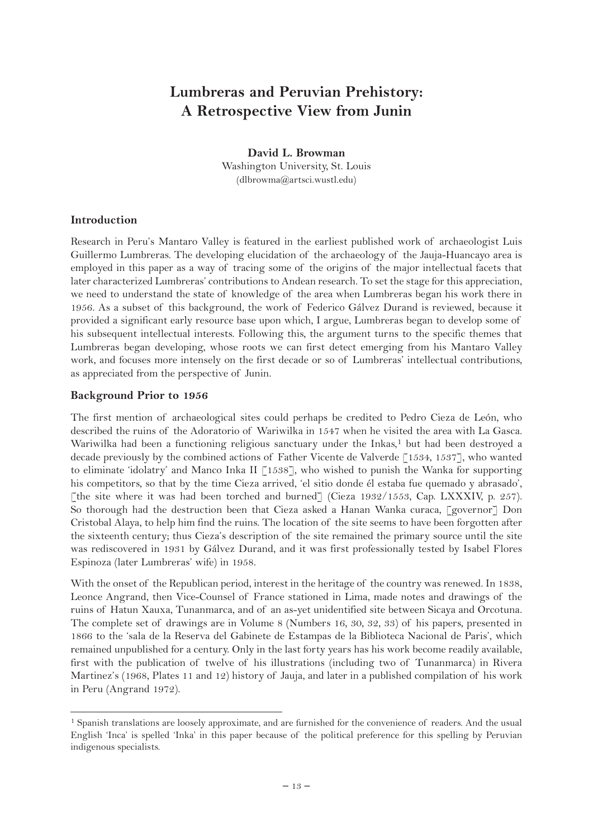# **Lumbreras and Peruvian Prehistory: A Retrospective View from Junin**

**David L. Browman** Washington University, St. Louis (dlbrowma@artsci.wustl.edu)

### **Introduction**

Research in Peru's Mantaro Valley is featured in the earliest published work of archaeologist Luis Guillermo Lumbreras. The developing elucidation of the archaeology of the Jauja-Huancayo area is employed in this paper as a way of tracing some of the origins of the major intellectual facets that later characterized Lumbreras' contributions to Andean research. To set the stage for this appreciation, we need to understand the state of knowledge of the area when Lumbreras began his work there in 1956. As a subset of this background, the work of Federico Gálvez Durand is reviewed, because it provided a significant early resource base upon which, I argue, Lumbreras began to develop some of his subsequent intellectual interests. Following this, the argument turns to the specific themes that Lumbreras began developing, whose roots we can first detect emerging from his Mantaro Valley work, and focuses more intensely on the first decade or so of Lumbreras' intellectual contributions, as appreciated from the perspective of Junin.

### **Background Prior to 1956**

The first mention of archaeological sites could perhaps be credited to Pedro Cieza de León, who described the ruins of the Adoratorio of Wariwilka in 1547 when he visited the area with La Gasca. Wariwilka had been a functioning religious sanctuary under the Inkas,<sup>1</sup> but had been destroyed a decade previously by the combined actions of Father Vicente de Valverde [1534, 1537], who wanted to eliminate 'idolatry' and Manco Inka II [1538], who wished to punish the Wanka for supporting his competitors, so that by the time Cieza arrived, 'el sitio donde él estaba fue quemado y abrasado', [the site where it was had been torched and burned] (Cieza 1932/1553, Cap. LXXXIV, p. 257). So thorough had the destruction been that Cieza asked a Hanan Wanka curaca, [governor] Don Cristobal Alaya, to help him find the ruins. The location of the site seems to have been forgotten after the sixteenth century; thus Cieza's description of the site remained the primary source until the site was rediscovered in 1931 by Gálvez Durand, and it was first professionally tested by Isabel Flores Espinoza (later Lumbreras' wife) in 1958.

With the onset of the Republican period, interest in the heritage of the country was renewed. In 1838, Leonce Angrand, then Vice-Counsel of France stationed in Lima, made notes and drawings of the ruins of Hatun Xauxa, Tunanmarca, and of an as-yet unidentified site between Sicaya and Orcotuna. The complete set of drawings are in Volume 8 (Numbers 16, 30, 32, 33) of his papers, presented in 1866 to the 'sala de la Reserva del Gabinete de Estampas de la Biblioteca Nacional de Paris', which remained unpublished for a century. Only in the last forty years has his work become readily available, first with the publication of twelve of his illustrations (including two of Tunanmarca) in Rivera Martinez's (1968, Plates 11 and 12) history of Jauja, and later in a published compilation of his work in Peru (Angrand 1972).

<sup>1</sup> Spanish translations are loosely approximate, and are furnished for the convenience of readers. And the usual English 'Inca' is spelled 'Inka' in this paper because of the political preference for this spelling by Peruvian indigenous specialists.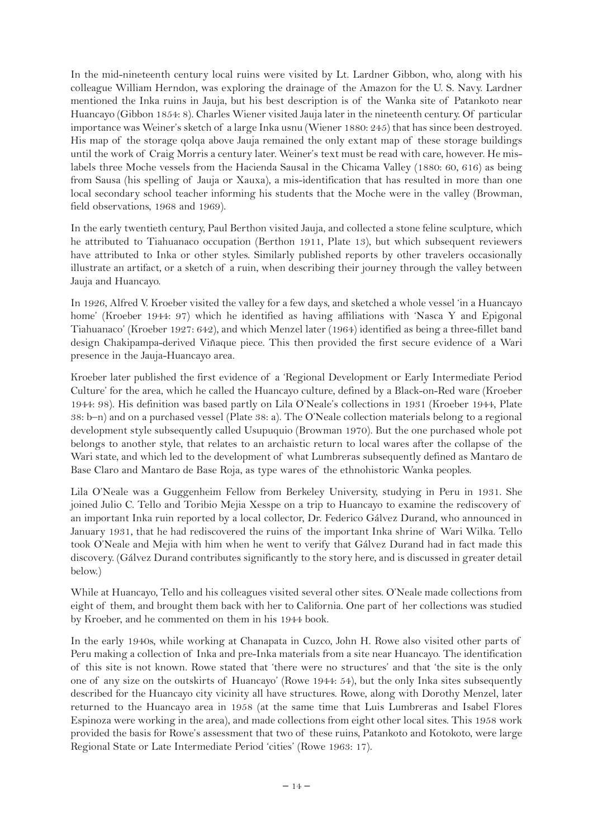In the mid-nineteenth century local ruins were visited by Lt. Lardner Gibbon, who, along with his colleague William Herndon, was exploring the drainage of the Amazon for the U. S. Navy. Lardner mentioned the Inka ruins in Jauja, but his best description is of the Wanka site of Patankoto near Huancayo (Gibbon 1854: 8). Charles Wiener visited Jauja later in the nineteenth century. Of particular importance was Weiner's sketch of a large Inka usnu (Wiener 1880: 245) that has since been destroyed. His map of the storage qolqa above Jauja remained the only extant map of these storage buildings until the work of Craig Morris a century later. Weiner's text must be read with care, however. He mislabels three Moche vessels from the Hacienda Sausal in the Chicama Valley (1880: 60, 616) as being from Sausa (his spelling of Jauja or Xauxa), a mis-identification that has resulted in more than one local secondary school teacher informing his students that the Moche were in the valley (Browman, field observations, 1968 and 1969).

In the early twentieth century, Paul Berthon visited Jauja, and collected a stone feline sculpture, which he attributed to Tiahuanaco occupation (Berthon 1911, Plate 13), but which subsequent reviewers have attributed to Inka or other styles. Similarly published reports by other travelers occasionally illustrate an artifact, or a sketch of a ruin, when describing their journey through the valley between Jauja and Huancayo.

In 1926, Alfred V. Kroeber visited the valley for a few days, and sketched a whole vessel 'in a Huancayo home' (Kroeber 1944: 97) which he identified as having affiliations with 'Nasca Y and Epigonal Tiahuanaco' (Kroeber 1927: 642), and which Menzel later (1964) identified as being a three-fillet band design Chakipampa-derived Viñaque piece. This then provided the first secure evidence of a Wari presence in the Jauja-Huancayo area.

Kroeber later published the first evidence of a 'Regional Development or Early Intermediate Period Culture' for the area, which he called the Huancayo culture, defined by a Black-on-Red ware (Kroeber 1944: 98). His definition was based partly on Lila O'Neale's collections in 1931 (Kroeber 1944, Plate 38: b–n) and on a purchased vessel (Plate 38: a). The O'Neale collection materials belong to a regional development style subsequently called Usupuquio (Browman 1970). But the one purchased whole pot belongs to another style, that relates to an archaistic return to local wares after the collapse of the Wari state, and which led to the development of what Lumbreras subsequently defined as Mantaro de Base Claro and Mantaro de Base Roja, as type wares of the ethnohistoric Wanka peoples.

Lila O'Neale was a Guggenheim Fellow from Berkeley University, studying in Peru in 1931. She joined Julio C. Tello and Toribio Mejia Xesspe on a trip to Huancayo to examine the rediscovery of an important Inka ruin reported by a local collector, Dr. Federico Gálvez Durand, who announced in January 1931, that he had rediscovered the ruins of the important Inka shrine of Wari Wilka. Tello took O'Neale and Mejia with him when he went to verify that Gálvez Durand had in fact made this discovery. (Gálvez Durand contributes significantly to the story here, and is discussed in greater detail below.)

While at Huancayo, Tello and his colleagues visited several other sites. O'Neale made collections from eight of them, and brought them back with her to California. One part of her collections was studied by Kroeber, and he commented on them in his 1944 book.

In the early 1940s, while working at Chanapata in Cuzco, John H. Rowe also visited other parts of Peru making a collection of Inka and pre-Inka materials from a site near Huancayo. The identification of this site is not known. Rowe stated that 'there were no structures' and that 'the site is the only one of any size on the outskirts of Huancayo' (Rowe 1944: 54), but the only Inka sites subsequently described for the Huancayo city vicinity all have structures. Rowe, along with Dorothy Menzel, later returned to the Huancayo area in 1958 (at the same time that Luis Lumbreras and Isabel Flores Espinoza were working in the area), and made collections from eight other local sites. This 1958 work provided the basis for Rowe's assessment that two of these ruins, Patankoto and Kotokoto, were large Regional State or Late Intermediate Period 'cities' (Rowe 1963: 17).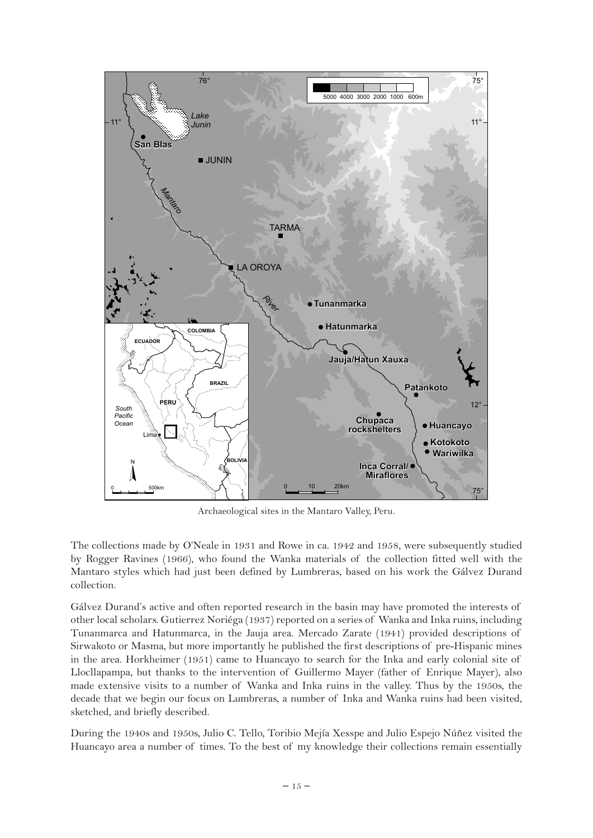

Archaeological sites in the Mantaro Valley, Peru.

The collections made by O'Neale in 1931 and Rowe in ca. 1942 and 1958, were subsequently studied by Rogger Ravines (1966), who found the Wanka materials of the collection fitted well with the Mantaro styles which had just been defined by Lumbreras, based on his work the Gálvez Durand collection.

Gálvez Durand's active and often reported research in the basin may have promoted the interests of other local scholars. Gutierrez Noriéga (1937) reported on a series of Wanka and Inka ruins, including Tunanmarca and Hatunmarca, in the Jauja area. Mercado Zarate (1941) provided descriptions of Sirwakoto or Masma, but more importantly he published the first descriptions of pre-Hispanic mines in the area. Horkheimer (1951) came to Huancayo to search for the Inka and early colonial site of Llocllapampa, but thanks to the intervention of Guillermo Mayer (father of Enrique Mayer), also made extensive visits to a number of Wanka and Inka ruins in the valley. Thus by the 1950s, the decade that we begin our focus on Lumbreras, a number of Inka and Wanka ruins had been visited, sketched, and briefly described.

During the 1940s and 1950s, Julio C. Tello, Toribio Mejía Xesspe and Julio Espejo Núñez visited the Huancayo area a number of times. To the best of my knowledge their collections remain essentially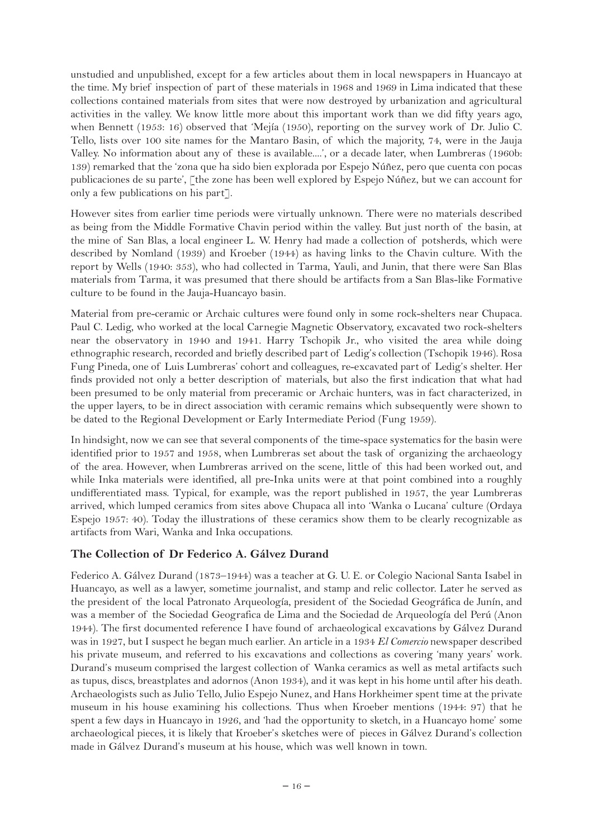unstudied and unpublished, except for a few articles about them in local newspapers in Huancayo at the time. My brief inspection of part of these materials in 1968 and 1969 in Lima indicated that these collections contained materials from sites that were now destroyed by urbanization and agricultural activities in the valley. We know little more about this important work than we did fifty years ago, when Bennett (1953: 16) observed that 'Mejía (1950), reporting on the survey work of Dr. Julio C. Tello, lists over 100 site names for the Mantaro Basin, of which the majority, 74, were in the Jauja Valley. No information about any of these is available....', or a decade later, when Lumbreras (1960b: 139) remarked that the 'zona que ha sido bien explorada por Espejo Núñez, pero que cuenta con pocas publicaciones de su parte', [the zone has been well explored by Espejo Núñez, but we can account for only a few publications on his part].

However sites from earlier time periods were virtually unknown. There were no materials described as being from the Middle Formative Chavin period within the valley. But just north of the basin, at the mine of San Blas, a local engineer L. W. Henry had made a collection of potsherds, which were described by Nomland (1939) and Kroeber (1944) as having links to the Chavin culture. With the report by Wells (1940: 353), who had collected in Tarma, Yauli, and Junin, that there were San Blas materials from Tarma, it was presumed that there should be artifacts from a San Blas-like Formative culture to be found in the Jauja-Huancayo basin.

Material from pre-ceramic or Archaic cultures were found only in some rock-shelters near Chupaca. Paul C. Ledig, who worked at the local Carnegie Magnetic Observatory, excavated two rock-shelters near the observatory in 1940 and 1941. Harry Tschopik Jr., who visited the area while doing ethnographic research, recorded and briefly described part of Ledig's collection (Tschopik 1946). Rosa Fung Pineda, one of Luis Lumbreras' cohort and colleagues, re-excavated part of Ledig's shelter. Her finds provided not only a better description of materials, but also the first indication that what had been presumed to be only material from preceramic or Archaic hunters, was in fact characterized, in the upper layers, to be in direct association with ceramic remains which subsequently were shown to be dated to the Regional Development or Early Intermediate Period (Fung 1959).

In hindsight, now we can see that several components of the time-space systematics for the basin were identified prior to 1957 and 1958, when Lumbreras set about the task of organizing the archaeology of the area. However, when Lumbreras arrived on the scene, little of this had been worked out, and while Inka materials were identified, all pre-Inka units were at that point combined into a roughly undifferentiated mass. Typical, for example, was the report published in 1957, the year Lumbreras arrived, which lumped ceramics from sites above Chupaca all into 'Wanka o Lucana' culture (Ordaya Espejo 1957: 40). Today the illustrations of these ceramics show them to be clearly recognizable as artifacts from Wari, Wanka and Inka occupations.

# **The Collection of Dr Federico A. Gálvez Durand**

Federico A. Gálvez Durand (1873–1944) was a teacher at G. U. E. or Colegio Nacional Santa Isabel in Huancayo, as well as a lawyer, sometime journalist, and stamp and relic collector. Later he served as the president of the local Patronato Arqueología, president of the Sociedad Geográfica de Junín, and was a member of the Sociedad Geografica de Lima and the Sociedad de Arqueología del Perú (Anon 1944). The first documented reference I have found of archaeological excavations by Gálvez Durand was in 1927, but I suspect he began much earlier. An article in a 1934 *El Comercio* newspaper described his private museum, and referred to his excavations and collections as covering 'many years' work. Durand's museum comprised the largest collection of Wanka ceramics as well as metal artifacts such as tupus, discs, breastplates and adornos (Anon 1934), and it was kept in his home until after his death. Archaeologists such as Julio Tello, Julio Espejo Nunez, and Hans Horkheimer spent time at the private museum in his house examining his collections. Thus when Kroeber mentions (1944: 97) that he spent a few days in Huancayo in 1926, and 'had the opportunity to sketch, in a Huancayo home' some archaeological pieces, it is likely that Kroeber's sketches were of pieces in Gálvez Durand's collection made in Gálvez Durand's museum at his house, which was well known in town.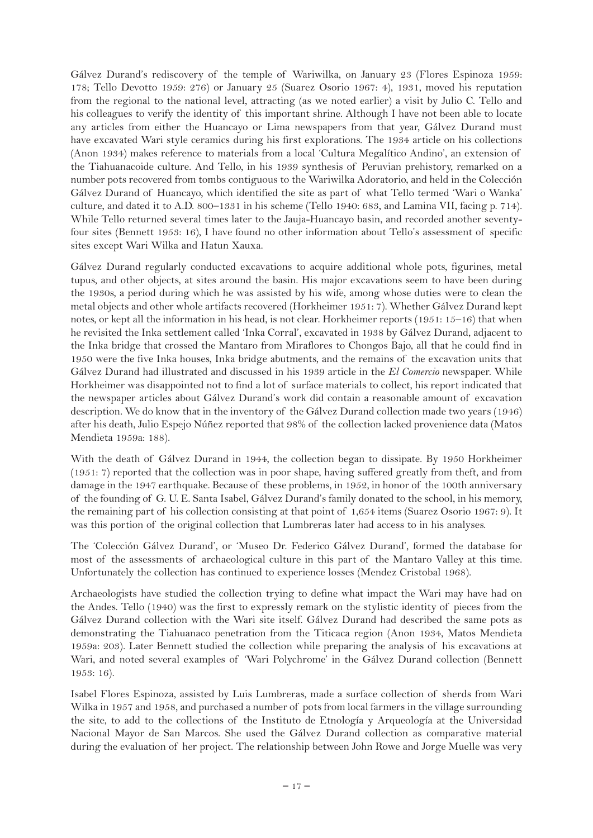Gálvez Durand's rediscovery of the temple of Wariwilka, on January 23 (Flores Espinoza 1959: 178; Tello Devotto 1959: 276) or January 25 (Suarez Osorio 1967: 4), 1931, moved his reputation from the regional to the national level, attracting (as we noted earlier) a visit by Julio C. Tello and his colleagues to verify the identity of this important shrine. Although I have not been able to locate any articles from either the Huancayo or Lima newspapers from that year, Gálvez Durand must have excavated Wari style ceramics during his first explorations. The 1934 article on his collections (Anon 1934) makes reference to materials from a local 'Cultura Megalítico Andino', an extension of the Tiahuanacoide culture. And Tello, in his 1939 synthesis of Peruvian prehistory, remarked on a number pots recovered from tombs contiguous to the Wariwilka Adoratorio, and held in the Colección Gálvez Durand of Huancayo, which identified the site as part of what Tello termed 'Wari o Wanka' culture, and dated it to A.D. 800–1331 in his scheme (Tello 1940: 683, and Lamina VII, facing p. 714). While Tello returned several times later to the Jauja-Huancayo basin, and recorded another seventyfour sites (Bennett 1953: 16), I have found no other information about Tello's assessment of specific sites except Wari Wilka and Hatun Xauxa.

Gálvez Durand regularly conducted excavations to acquire additional whole pots, figurines, metal tupus, and other objects, at sites around the basin. His major excavations seem to have been during the 1930s, a period during which he was assisted by his wife, among whose duties were to clean the metal objects and other whole artifacts recovered (Horkheimer 1951: 7). Whether Gálvez Durand kept notes, or kept all the information in his head, is not clear. Horkheimer reports (1951: 15–16) that when he revisited the Inka settlement called 'Inka Corral', excavated in 1938 by Gálvez Durand, adjacent to the Inka bridge that crossed the Mantaro from Miraflores to Chongos Bajo, all that he could find in 1950 were the five Inka houses, Inka bridge abutments, and the remains of the excavation units that Gálvez Durand had illustrated and discussed in his 1939 article in the *El Comercio* newspaper. While Horkheimer was disappointed not to find a lot of surface materials to collect, his report indicated that the newspaper articles about Gálvez Durand's work did contain a reasonable amount of excavation description. We do know that in the inventory of the Gálvez Durand collection made two years (1946) after his death, Julio Espejo Núñez reported that 98% of the collection lacked provenience data (Matos Mendieta 1959a: 188).

With the death of Gálvez Durand in 1944, the collection began to dissipate. By 1950 Horkheimer (1951: 7) reported that the collection was in poor shape, having suffered greatly from theft, and from damage in the 1947 earthquake. Because of these problems, in 1952, in honor of the 100th anniversary of the founding of G. U. E. Santa Isabel, Gálvez Durand's family donated to the school, in his memory, the remaining part of his collection consisting at that point of 1,654 items (Suarez Osorio 1967: 9). It was this portion of the original collection that Lumbreras later had access to in his analyses.

The 'Colección Gálvez Durand', or 'Museo Dr. Federico Gálvez Durand', formed the database for most of the assessments of archaeological culture in this part of the Mantaro Valley at this time. Unfortunately the collection has continued to experience losses (Mendez Cristobal 1968).

Archaeologists have studied the collection trying to define what impact the Wari may have had on the Andes. Tello (1940) was the first to expressly remark on the stylistic identity of pieces from the Gálvez Durand collection with the Wari site itself. Gálvez Durand had described the same pots as demonstrating the Tiahuanaco penetration from the Titicaca region (Anon 1934, Matos Mendieta 1959a: 203). Later Bennett studied the collection while preparing the analysis of his excavations at Wari, and noted several examples of 'Wari Polychrome' in the Gálvez Durand collection (Bennett 1953: 16).

Isabel Flores Espinoza, assisted by Luis Lumbreras, made a surface collection of sherds from Wari Wilka in 1957 and 1958, and purchased a number of pots from local farmers in the village surrounding the site, to add to the collections of the Instituto de Etnología y Arqueología at the Universidad Nacional Mayor de San Marcos. She used the Gálvez Durand collection as comparative material during the evaluation of her project. The relationship between John Rowe and Jorge Muelle was very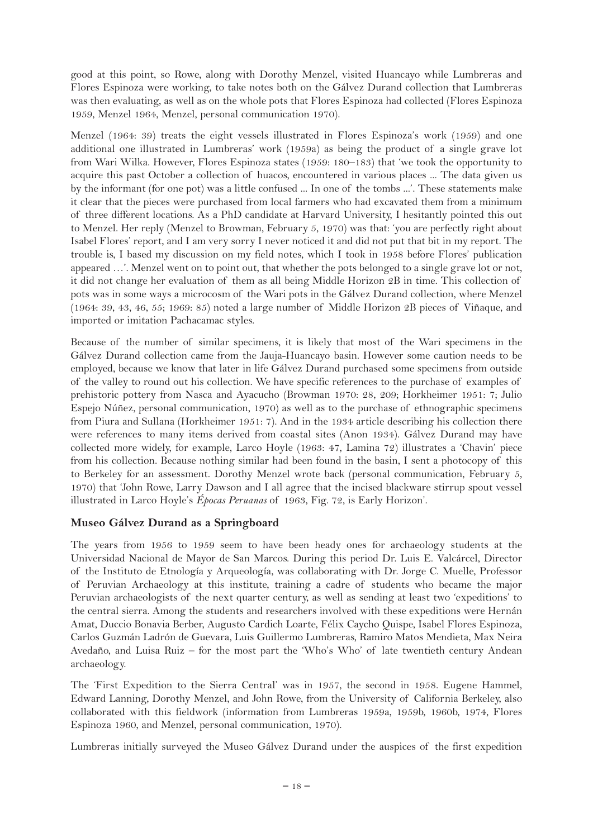good at this point, so Rowe, along with Dorothy Menzel, visited Huancayo while Lumbreras and Flores Espinoza were working, to take notes both on the Gálvez Durand collection that Lumbreras was then evaluating, as well as on the whole pots that Flores Espinoza had collected (Flores Espinoza 1959, Menzel 1964, Menzel, personal communication 1970).

Menzel (1964: 39) treats the eight vessels illustrated in Flores Espinoza's work (1959) and one additional one illustrated in Lumbreras' work (1959a) as being the product of a single grave lot from Wari Wilka. However, Flores Espinoza states (1959: 180–183) that 'we took the opportunity to acquire this past October a collection of huacos, encountered in various places ... The data given us by the informant (for one pot) was a little confused ... In one of the tombs ...'. These statements make it clear that the pieces were purchased from local farmers who had excavated them from a minimum of three different locations. As a PhD candidate at Harvard University, I hesitantly pointed this out to Menzel. Her reply (Menzel to Browman, February 5, 1970) was that: 'you are perfectly right about Isabel Flores' report, and I am very sorry I never noticed it and did not put that bit in my report. The trouble is, I based my discussion on my field notes, which I took in 1958 before Flores' publication appeared …'. Menzel went on to point out, that whether the pots belonged to a single grave lot or not, it did not change her evaluation of them as all being Middle Horizon 2B in time. This collection of pots was in some ways a microcosm of the Wari pots in the Gálvez Durand collection, where Menzel (1964: 39, 43, 46, 55; 1969: 85) noted a large number of Middle Horizon 2B pieces of Viñaque, and imported or imitation Pachacamac styles.

Because of the number of similar specimens, it is likely that most of the Wari specimens in the Gálvez Durand collection came from the Jauja-Huancayo basin. However some caution needs to be employed, because we know that later in life Gálvez Durand purchased some specimens from outside of the valley to round out his collection. We have specific references to the purchase of examples of prehistoric pottery from Nasca and Ayacucho (Browman 1970: 28, 209; Horkheimer 1951: 7; Julio Espejo Núñez, personal communication, 1970) as well as to the purchase of ethnographic specimens from Piura and Sullana (Horkheimer 1951: 7). And in the 1934 article describing his collection there were references to many items derived from coastal sites (Anon 1934). Gálvez Durand may have collected more widely, for example, Larco Hoyle (1963: 47, Lamina 72) illustrates a 'Chavin' piece from his collection. Because nothing similar had been found in the basin, I sent a photocopy of this to Berkeley for an assessment. Dorothy Menzel wrote back (personal communication, February 5, 1970) that 'John Rowe, Larry Dawson and I all agree that the incised blackware stirrup spout vessel illustrated in Larco Hoyle's *Épocas Peruanas* of 1963, Fig. 72, is Early Horizon'.

# **Museo Gálvez Durand as a Springboard**

The years from 1956 to 1959 seem to have been heady ones for archaeology students at the Universidad Nacional de Mayor de San Marcos. During this period Dr. Luis E. Valcárcel, Director of the Instituto de Etnología y Arqueología, was collaborating with Dr. Jorge C. Muelle, Professor of Peruvian Archaeology at this institute, training a cadre of students who became the major Peruvian archaeologists of the next quarter century, as well as sending at least two 'expeditions' to the central sierra. Among the students and researchers involved with these expeditions were Hernán Amat, Duccio Bonavia Berber, Augusto Cardich Loarte, Félix Caycho Quispe, Isabel Flores Espinoza, Carlos Guzmán Ladrón de Guevara, Luis Guillermo Lumbreras, Ramiro Matos Mendieta, Max Neira Avedaño, and Luisa Ruiz – for the most part the 'Who's Who' of late twentieth century Andean archaeology.

The 'First Expedition to the Sierra Central' was in 1957, the second in 1958. Eugene Hammel, Edward Lanning, Dorothy Menzel, and John Rowe, from the University of California Berkeley, also collaborated with this fieldwork (information from Lumbreras 1959a, 1959b, 1960b, 1974, Flores Espinoza 1960, and Menzel, personal communication, 1970).

Lumbreras initially surveyed the Museo Gálvez Durand under the auspices of the first expedition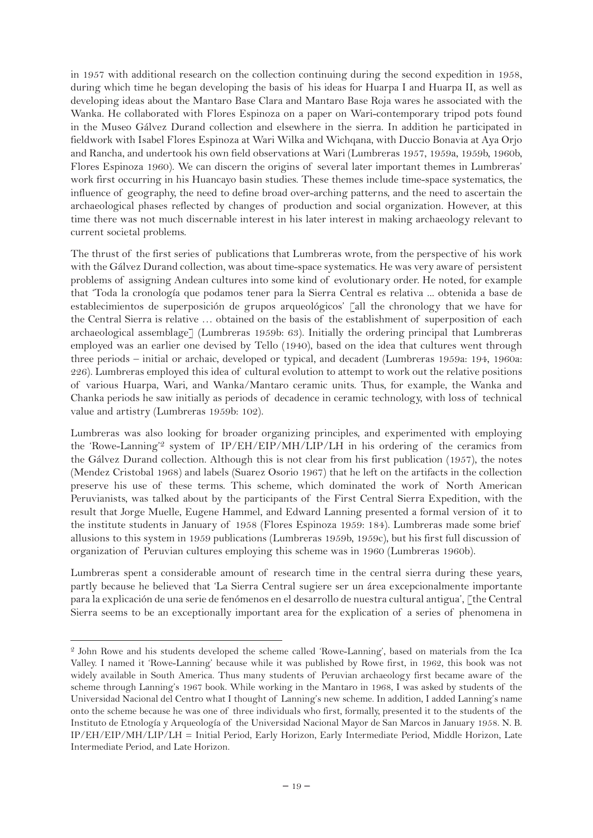in 1957 with additional research on the collection continuing during the second expedition in 1958, during which time he began developing the basis of his ideas for Huarpa I and Huarpa II, as well as developing ideas about the Mantaro Base Clara and Mantaro Base Roja wares he associated with the Wanka. He collaborated with Flores Espinoza on a paper on Wari-contemporary tripod pots found in the Museo Gálvez Durand collection and elsewhere in the sierra. In addition he participated in fieldwork with Isabel Flores Espinoza at Wari Wilka and Wichqana, with Duccio Bonavia at Aya Orjo and Rancha, and undertook his own field observations at Wari (Lumbreras 1957, 1959a, 1959b, 1960b, Flores Espinoza 1960). We can discern the origins of several later important themes in Lumbreras' work first occurring in his Huancayo basin studies. These themes include time-space systematics, the influence of geography, the need to define broad over-arching patterns, and the need to ascertain the archaeological phases reflected by changes of production and social organization. However, at this time there was not much discernable interest in his later interest in making archaeology relevant to current societal problems.

The thrust of the first series of publications that Lumbreras wrote, from the perspective of his work with the Gálvez Durand collection, was about time-space systematics. He was very aware of persistent problems of assigning Andean cultures into some kind of evolutionary order. He noted, for example that 'Toda la cronología que podamos tener para la Sierra Central es relativa ... obtenida a base de establecimientos de superposición de grupos arqueológicos' [all the chronology that we have for the Central Sierra is relative … obtained on the basis of the establishment of superposition of each archaeological assemblage] (Lumbreras 1959b: 63). Initially the ordering principal that Lumbreras employed was an earlier one devised by Tello (1940), based on the idea that cultures went through three periods – initial or archaic, developed or typical, and decadent (Lumbreras 1959a: 194, 1960a: 226). Lumbreras employed this idea of cultural evolution to attempt to work out the relative positions of various Huarpa, Wari, and Wanka/Mantaro ceramic units. Thus, for example, the Wanka and Chanka periods he saw initially as periods of decadence in ceramic technology, with loss of technical value and artistry (Lumbreras 1959b: 102).

Lumbreras was also looking for broader organizing principles, and experimented with employing the 'Rowe-Lanning'2 system of IP/EH/EIP/MH/LIP/LH in his ordering of the ceramics from the Gálvez Durand collection. Although this is not clear from his first publication (1957), the notes (Mendez Cristobal 1968) and labels (Suarez Osorio 1967) that he left on the artifacts in the collection preserve his use of these terms. This scheme, which dominated the work of North American Peruvianists, was talked about by the participants of the First Central Sierra Expedition, with the result that Jorge Muelle, Eugene Hammel, and Edward Lanning presented a formal version of it to the institute students in January of 1958 (Flores Espinoza 1959: 184). Lumbreras made some brief allusions to this system in 1959 publications (Lumbreras 1959b, 1959c), but his first full discussion of organization of Peruvian cultures employing this scheme was in 1960 (Lumbreras 1960b).

Lumbreras spent a considerable amount of research time in the central sierra during these years, partly because he believed that 'La Sierra Central sugiere ser un área excepcionalmente importante para la explicación de una serie de fenómenos en el desarrollo de nuestra cultural antigua', [the Central Sierra seems to be an exceptionally important area for the explication of a series of phenomena in

<sup>2</sup> John Rowe and his students developed the scheme called 'Rowe-Lanning', based on materials from the Ica Valley. I named it 'Rowe-Lanning' because while it was published by Rowe first, in 1962, this book was not widely available in South America. Thus many students of Peruvian archaeology first became aware of the scheme through Lanning's 1967 book. While working in the Mantaro in 1968, I was asked by students of the Universidad Nacional del Centro what I thought of Lanning's new scheme. In addition, I added Lanning's name onto the scheme because he was one of three individuals who first, formally, presented it to the students of the Instituto de Etnología y Arqueología of the Universidad Nacional Mayor de San Marcos in January 1958. N. B. IP/EH/EIP/MH/LIP/LH = Initial Period, Early Horizon, Early Intermediate Period, Middle Horizon, Late Intermediate Period, and Late Horizon.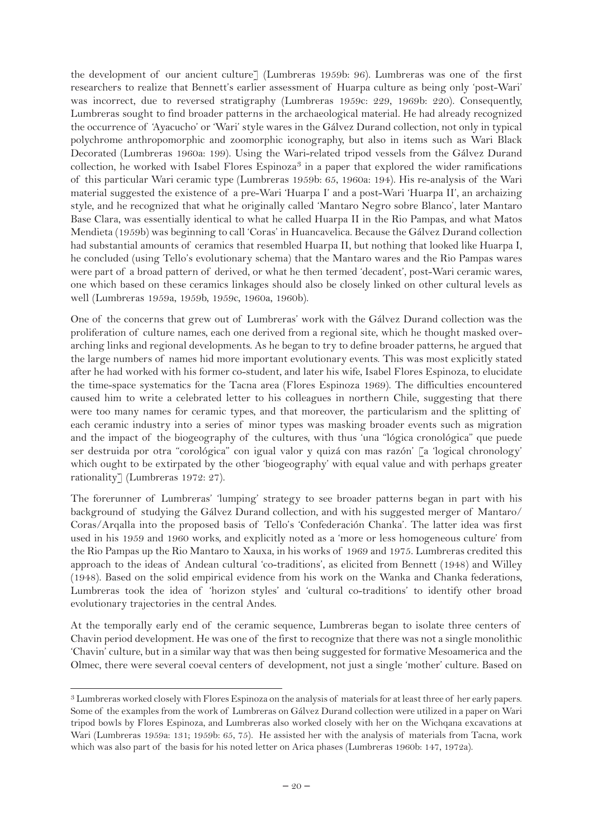the development of our ancient culture] (Lumbreras 1959b: 96). Lumbreras was one of the first researchers to realize that Bennett's earlier assessment of Huarpa culture as being only 'post-Wari' was incorrect, due to reversed stratigraphy (Lumbreras 1959c: 229, 1969b: 220). Consequently, Lumbreras sought to find broader patterns in the archaeological material. He had already recognized the occurrence of 'Ayacucho' or 'Wari' style wares in the Gálvez Durand collection, not only in typical polychrome anthropomorphic and zoomorphic iconography, but also in items such as Wari Black Decorated (Lumbreras 1960a: 199). Using the Wari-related tripod vessels from the Gálvez Durand collection, he worked with Isabel Flores Espinoza<sup>3</sup> in a paper that explored the wider ramifications of this particular Wari ceramic type (Lumbreras 1959b: 65, 1960a: 194). His re-analysis of the Wari material suggested the existence of a pre-Wari 'Huarpa I' and a post-Wari 'Huarpa II', an archaizing style, and he recognized that what he originally called 'Mantaro Negro sobre Blanco', later Mantaro Base Clara, was essentially identical to what he called Huarpa II in the Rio Pampas, and what Matos Mendieta (1959b) was beginning to call 'Coras' in Huancavelica. Because the Gálvez Durand collection had substantial amounts of ceramics that resembled Huarpa II, but nothing that looked like Huarpa I, he concluded (using Tello's evolutionary schema) that the Mantaro wares and the Rio Pampas wares were part of a broad pattern of derived, or what he then termed 'decadent', post-Wari ceramic wares, one which based on these ceramics linkages should also be closely linked on other cultural levels as well (Lumbreras 1959a, 1959b, 1959c, 1960a, 1960b).

One of the concerns that grew out of Lumbreras' work with the Gálvez Durand collection was the proliferation of culture names, each one derived from a regional site, which he thought masked overarching links and regional developments. As he began to try to define broader patterns, he argued that the large numbers of names hid more important evolutionary events. This was most explicitly stated after he had worked with his former co-student, and later his wife, Isabel Flores Espinoza, to elucidate the time-space systematics for the Tacna area (Flores Espinoza 1969). The difficulties encountered caused him to write a celebrated letter to his colleagues in northern Chile, suggesting that there were too many names for ceramic types, and that moreover, the particularism and the splitting of each ceramic industry into a series of minor types was masking broader events such as migration and the impact of the biogeography of the cultures, with thus 'una "lógica cronológica" que puede ser destruida por otra "corológica" con igual valor y quizá con mas razón' [a 'logical chronology' which ought to be extirpated by the other 'biogeography' with equal value and with perhaps greater rationality] (Lumbreras 1972: 27).

The forerunner of Lumbreras' 'lumping' strategy to see broader patterns began in part with his background of studying the Gálvez Durand collection, and with his suggested merger of Mantaro/ Coras/Arqalla into the proposed basis of Tello's 'Confederación Chanka'. The latter idea was first used in his 1959 and 1960 works, and explicitly noted as a 'more or less homogeneous culture' from the Rio Pampas up the Rio Mantaro to Xauxa, in his works of 1969 and 1975. Lumbreras credited this approach to the ideas of Andean cultural 'co-traditions', as elicited from Bennett (1948) and Willey (1948). Based on the solid empirical evidence from his work on the Wanka and Chanka federations, Lumbreras took the idea of 'horizon styles' and 'cultural co-traditions' to identify other broad evolutionary trajectories in the central Andes.

At the temporally early end of the ceramic sequence, Lumbreras began to isolate three centers of Chavin period development. He was one of the first to recognize that there was not a single monolithic 'Chavin' culture, but in a similar way that was then being suggested for formative Mesoamerica and the Olmec, there were several coeval centers of development, not just a single 'mother' culture. Based on

<sup>3</sup> Lumbreras worked closely with Flores Espinoza on the analysis of materials for at least three of her early papers. Some of the examples from the work of Lumbreras on Gálvez Durand collection were utilized in a paper on Wari tripod bowls by Flores Espinoza, and Lumbreras also worked closely with her on the Wichqana excavations at Wari (Lumbreras 1959a: 131; 1959b: 65, 75). He assisted her with the analysis of materials from Tacna, work which was also part of the basis for his noted letter on Arica phases (Lumbreras 1960b: 147, 1972a).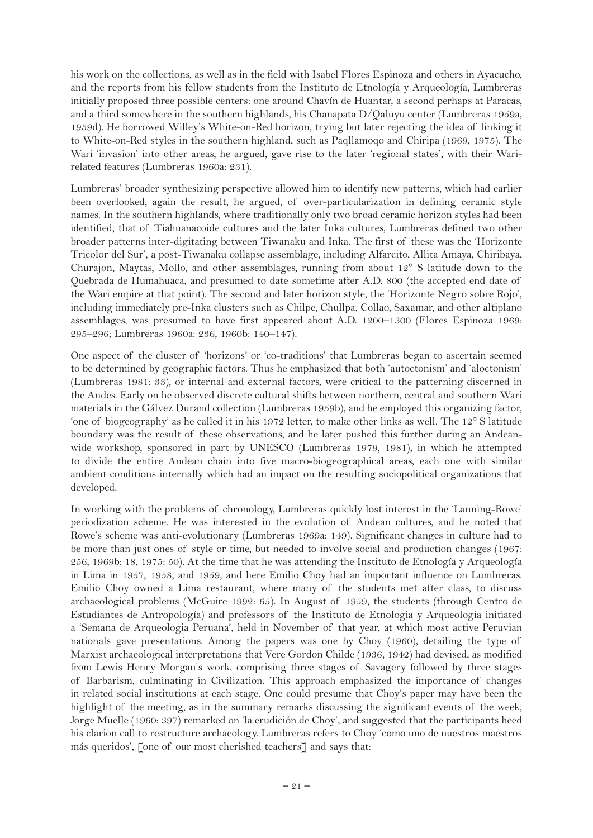his work on the collections, as well as in the field with Isabel Flores Espinoza and others in Ayacucho, and the reports from his fellow students from the Instituto de Etnología y Arqueología, Lumbreras initially proposed three possible centers: one around Chavín de Huantar, a second perhaps at Paracas, and a third somewhere in the southern highlands, his Chanapata D/Qaluyu center (Lumbreras 1959a, 1959d). He borrowed Willey's White-on-Red horizon, trying but later rejecting the idea of linking it to White-on-Red styles in the southern highland, such as Paqllamoqo and Chiripa (1969, 1975). The Wari 'invasion' into other areas, he argued, gave rise to the later 'regional states', with their Warirelated features (Lumbreras 1960a: 231).

Lumbreras' broader synthesizing perspective allowed him to identify new patterns, which had earlier been overlooked, again the result, he argued, of over-particularization in defining ceramic style names. In the southern highlands, where traditionally only two broad ceramic horizon styles had been identified, that of Tiahuanacoide cultures and the later Inka cultures, Lumbreras defined two other broader patterns inter-digitating between Tiwanaku and Inka. The first of these was the 'Horizonte Tricolor del Sur', a post-Tiwanaku collapse assemblage, including Alfarcito, Allita Amaya, Chiribaya, Churajon, Maytas, Mollo, and other assemblages, running from about 12° S latitude down to the Quebrada de Humahuaca, and presumed to date sometime after A.D. 800 (the accepted end date of the Wari empire at that point). The second and later horizon style, the 'Horizonte Negro sobre Rojo', including immediately pre-Inka clusters such as Chilpe, Chullpa, Collao, Saxamar, and other altiplano assemblages, was presumed to have first appeared about A.D. 1200–1300 (Flores Espinoza 1969: 295–296; Lumbreras 1960a: 236, 1960b: 140–147).

One aspect of the cluster of 'horizons' or 'co-traditions' that Lumbreras began to ascertain seemed to be determined by geographic factors. Thus he emphasized that both 'autoctonism' and 'aloctonism' (Lumbreras 1981: 33), or internal and external factors, were critical to the patterning discerned in the Andes. Early on he observed discrete cultural shifts between northern, central and southern Wari materials in the Gálvez Durand collection (Lumbreras 1959b), and he employed this organizing factor, 'one of biogeography' as he called it in his 1972 letter, to make other links as well. The 12° S latitude boundary was the result of these observations, and he later pushed this further during an Andeanwide workshop, sponsored in part by UNESCO (Lumbreras 1979, 1981), in which he attempted to divide the entire Andean chain into five macro-biogeographical areas, each one with similar ambient conditions internally which had an impact on the resulting sociopolitical organizations that developed.

In working with the problems of chronology, Lumbreras quickly lost interest in the 'Lanning-Rowe' periodization scheme. He was interested in the evolution of Andean cultures, and he noted that Rowe's scheme was anti-evolutionary (Lumbreras 1969a: 149). Significant changes in culture had to be more than just ones of style or time, but needed to involve social and production changes (1967: 256, 1969b: 18, 1975: 50). At the time that he was attending the Instituto de Etnología y Arqueología in Lima in 1957, 1958, and 1959, and here Emilio Choy had an important influence on Lumbreras. Emilio Choy owned a Lima restaurant, where many of the students met after class, to discuss archaeological problems (McGuire 1992: 65). In August of 1959, the students (through Centro de Estudiantes de Antropología) and professors of the Instituto de Etnologia y Arqueologia initiated a 'Semana de Arqueologia Peruana', held in November of that year, at which most active Peruvian nationals gave presentations. Among the papers was one by Choy (1960), detailing the type of Marxist archaeological interpretations that Vere Gordon Childe (1936, 1942) had devised, as modified from Lewis Henry Morgan's work, comprising three stages of Savagery followed by three stages of Barbarism, culminating in Civilization. This approach emphasized the importance of changes in related social institutions at each stage. One could presume that Choy's paper may have been the highlight of the meeting, as in the summary remarks discussing the significant events of the week, Jorge Muelle (1960: 397) remarked on 'la erudición de Choy', and suggested that the participants heed his clarion call to restructure archaeology. Lumbreras refers to Choy 'como uno de nuestros maestros más queridos', [one of our most cherished teachers] and says that: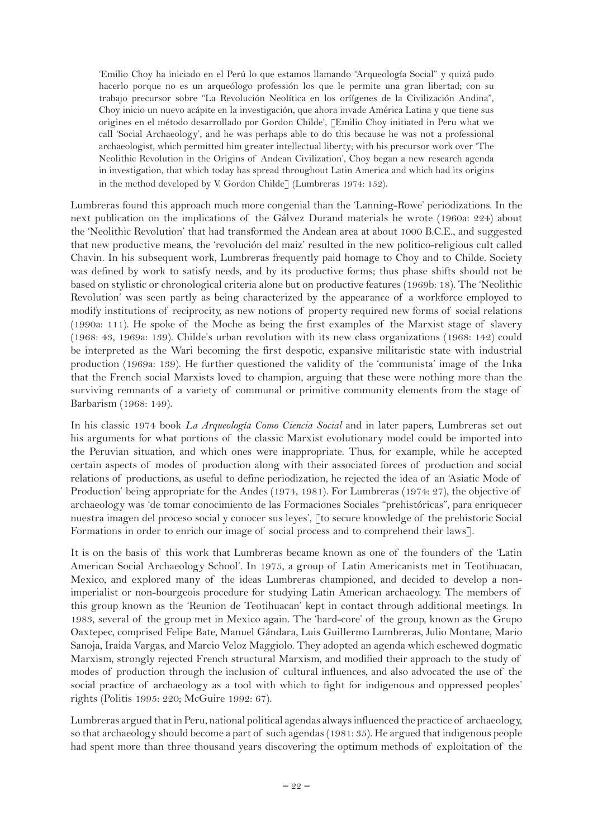'Emilio Choy ha iniciado en el Perú lo que estamos llamando "Arqueología Social" y quizá pudo hacerlo porque no es un arqueólogo professión los que le permite una gran libertad; con su trabajo precursor sobre "La Revolución Neolítica en los oríígenes de la Civilización Andina", Choy inicio un nuevo acápite en la investigación, que ahora invade América Latina y que tiene sus origines en el método desarrollado por Gordon Childe', [Emilio Choy initiated in Peru what we call 'Social Archaeology', and he was perhaps able to do this because he was not a professional archaeologist, which permitted him greater intellectual liberty; with his precursor work over 'The Neolithic Revolution in the Origins of Andean Civilization', Choy began a new research agenda in investigation, that which today has spread throughout Latin America and which had its origins in the method developed by V. Gordon Childe] (Lumbreras 1974: 152).

Lumbreras found this approach much more congenial than the 'Lanning-Rowe' periodizations. In the next publication on the implications of the Gálvez Durand materials he wrote (1960a: 224) about the 'Neolithic Revolution' that had transformed the Andean area at about 1000 B.C.E., and suggested that new productive means, the 'revolución del maiz' resulted in the new politico-religious cult called Chavin. In his subsequent work, Lumbreras frequently paid homage to Choy and to Childe. Society was defined by work to satisfy needs, and by its productive forms; thus phase shifts should not be based on stylistic or chronological criteria alone but on productive features (1969b: 18). The 'Neolithic Revolution' was seen partly as being characterized by the appearance of a workforce employed to modify institutions of reciprocity, as new notions of property required new forms of social relations (1990a: 111). He spoke of the Moche as being the first examples of the Marxist stage of slavery (1968: 43, 1969a: 139). Childe's urban revolution with its new class organizations (1968: 142) could be interpreted as the Wari becoming the first despotic, expansive militaristic state with industrial production (1969a: 139). He further questioned the validity of the 'communista' image of the Inka that the French social Marxists loved to champion, arguing that these were nothing more than the surviving remnants of a variety of communal or primitive community elements from the stage of Barbarism (1968: 149).

In his classic 1974 book *La Arqueología Como Ciencia Social* and in later papers, Lumbreras set out his arguments for what portions of the classic Marxist evolutionary model could be imported into the Peruvian situation, and which ones were inappropriate. Thus, for example, while he accepted certain aspects of modes of production along with their associated forces of production and social relations of productions, as useful to define periodization, he rejected the idea of an 'Asiatic Mode of Production' being appropriate for the Andes (1974, 1981). For Lumbreras (1974: 27), the objective of archaeology was 'de tomar conocimiento de las Formaciones Sociales "prehistóricas", para enriquecer nuestra imagen del proceso social y conocer sus leyes', [to secure knowledge of the prehistoric Social Formations in order to enrich our image of social process and to comprehend their laws].

It is on the basis of this work that Lumbreras became known as one of the founders of the 'Latin American Social Archaeology School'. In 1975, a group of Latin Americanists met in Teotihuacan, Mexico, and explored many of the ideas Lumbreras championed, and decided to develop a nonimperialist or non-bourgeois procedure for studying Latin American archaeology. The members of this group known as the 'Reunion de Teotihuacan' kept in contact through additional meetings. In 1983, several of the group met in Mexico again. The 'hard-core' of the group, known as the Grupo Oaxtepec, comprised Felipe Bate, Manuel Gándara, Luis Guillermo Lumbreras, Julio Montane, Mario Sanoja, Iraida Vargas, and Marcio Veloz Maggiolo. They adopted an agenda which eschewed dogmatic Marxism, strongly rejected French structural Marxism, and modified their approach to the study of modes of production through the inclusion of cultural influences, and also advocated the use of the social practice of archaeology as a tool with which to fight for indigenous and oppressed peoples' rights (Politis 1995: 220; McGuire 1992: 67).

Lumbreras argued that in Peru, national political agendas always influenced the practice of archaeology, so that archaeology should become a part of such agendas (1981: 35). He argued that indigenous people had spent more than three thousand years discovering the optimum methods of exploitation of the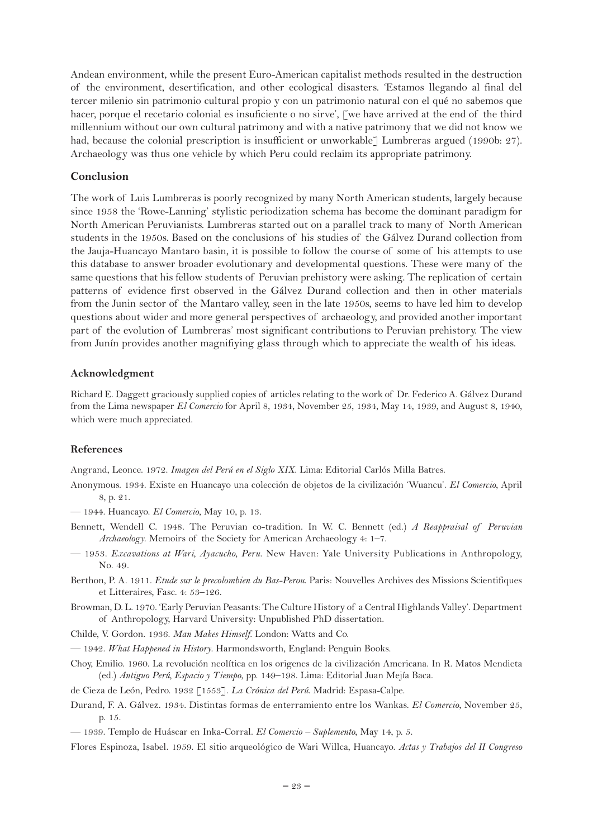Andean environment, while the present Euro-American capitalist methods resulted in the destruction of the environment, desertification, and other ecological disasters. 'Estamos llegando al final del tercer milenio sin patrimonio cultural propio y con un patrimonio natural con el qué no sabemos que hacer, porque el recetario colonial es insuficiente o no sirve', [we have arrived at the end of the third millennium without our own cultural patrimony and with a native patrimony that we did not know we had, because the colonial prescription is insufficient or unworkable] Lumbreras argued (1990b: 27). Archaeology was thus one vehicle by which Peru could reclaim its appropriate patrimony.

## **Conclusion**

The work of Luis Lumbreras is poorly recognized by many North American students, largely because since 1958 the 'Rowe-Lanning' stylistic periodization schema has become the dominant paradigm for North American Peruvianists. Lumbreras started out on a parallel track to many of North American students in the 1950s. Based on the conclusions of his studies of the Gálvez Durand collection from the Jauja-Huancayo Mantaro basin, it is possible to follow the course of some of his attempts to use this database to answer broader evolutionary and developmental questions. These were many of the same questions that his fellow students of Peruvian prehistory were asking. The replication of certain patterns of evidence first observed in the Gálvez Durand collection and then in other materials from the Junin sector of the Mantaro valley, seen in the late 1950s, seems to have led him to develop questions about wider and more general perspectives of archaeology, and provided another important part of the evolution of Lumbreras' most significant contributions to Peruvian prehistory. The view from Junín provides another magnifiying glass through which to appreciate the wealth of his ideas.

#### **Acknowledgment**

Richard E. Daggett graciously supplied copies of articles relating to the work of Dr. Federico A. Gálvez Durand from the Lima newspaper *El Comercio* for April 8, 1934, November 25, 1934, May 14, 1939, and August 8, 1940, which were much appreciated.

#### **References**

Angrand, Leonce. 1972. *Imagen del Perú en el Siglo XIX*. Lima: Editorial Carlós Milla Batres.

- Anonymous. 1934. Existe en Huancayo una colección de objetos de la civilización 'Wuancu'. *El Comercio*, April 8, p. 21.
- 1944. Huancayo. *El Comercio*, May 10, p. 13.
- Bennett, Wendell C. 1948. The Peruvian co-tradition. In W. C. Bennett (ed.) *A Reappraisal of Peruvian Archaeology*. Memoirs of the Society for American Archaeology 4: 1–7.
- 1953. *Excavations at Wari, Ayacucho, Peru*. New Haven: Yale University Publications in Anthropology, No. 49.
- Berthon, P. A. 1911. *Etude sur le precolombien du Bas-Perou*. Paris: Nouvelles Archives des Missions Scientifiques et Litteraires, Fasc. 4: 53–126.
- Browman, D. L. 1970. 'Early Peruvian Peasants: The Culture History of a Central Highlands Valley'. Department of Anthropology, Harvard University: Unpublished PhD dissertation.
- Childe, V. Gordon. 1936. *Man Makes Himself*. London: Watts and Co.
- 1942. *What Happened in History*. Harmondsworth, England: Penguin Books.
- Choy, Emilio. 1960. La revolución neolítica en los origenes de la civilización Americana. In R. Matos Mendieta (ed.) *Antiguo Perú, Espacio y Tiempo*, pp. 149–198. Lima: Editorial Juan Mejía Baca.
- de Cieza de León, Pedro. 1932 [1553]. *La Crónica del Perú*. Madrid: Espasa-Calpe.
- Durand, F. A. Gálvez. 1934. Distintas formas de enterramiento entre los Wankas. *El Comercio*, November 25, p. 15.
- 1939. Templo de Huáscar en Inka-Corral. *El Comercio Suplemento*, May 14, p. 5.
- Flores Espinoza, Isabel. 1959. El sitio arqueológico de Wari Willca, Huancayo. *Actas y Trabajos del II Congreso*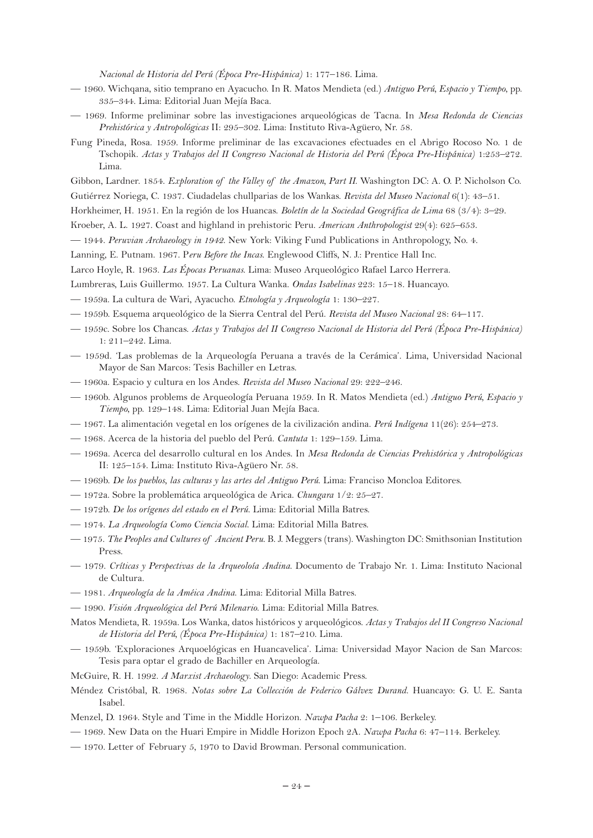*Nacional de Historia del Perú (Época Pre-Hispánica)* 1: 177–186. Lima.

- 1960. Wichqana, sitio temprano en Ayacucho. In R. Matos Mendieta (ed.) *Antiguo Perú, Espacio y Tiempo*, pp. 335–344. Lima: Editorial Juan Mejía Baca.
- 1969. Informe preliminar sobre las investigaciones arqueológicas de Tacna. In *Mesa Redonda de Ciencias Prehistórica y Antropológicas* II: 295–302. Lima: Instituto Riva-Agüero, Nr. 58.
- Fung Pineda, Rosa. 1959. Informe preliminar de las excavaciones efectuades en el Abrigo Rocoso No. 1 de Tschopik. *Actas y Trabajos del II Congreso Nacional de Historia del Perú (Época Pre-Hispánica)* 1:253–272. Lima.
- Gibbon, Lardner. 1854. *Exploration of the Valley of the Amazon, Part II*. Washington DC: A. O. P. Nicholson Co.
- Gutiérrez Noriega, C. 1937. Ciudadelas chullparias de los Wankas. *Revista del Museo Nacional* 6(1): 43–51.
- Horkheimer, H. 1951. En la región de los Huancas. *Boletín de la Sociedad Geográfica de Lima* 68 (3/4): 3–29.
- Kroeber, A. L. 1927. Coast and highland in prehistoric Peru. *American Anthropologist* 29(4): 625–653.
- 1944. *Peruvian Archaeology in 1942*. New York: Viking Fund Publications in Anthropology, No. 4.
- Lanning, E. Putnam. 1967. P*eru Before the Incas*. Englewood Cliffs, N. J.: Prentice Hall Inc.

Larco Hoyle, R. 1963. *Las Épocas Peruanas*. Lima: Museo Arqueológico Rafael Larco Herrera.

- Lumbreras, Luis Guillermo. 1957. La Cultura Wanka. *Ondas Isabelinas* 223: 15–18. Huancayo.
- 1959a. La cultura de Wari, Ayacucho. *Etnología y Arqueología* 1: 130–227.
- 1959b. Esquema arqueológico de la Sierra Central del Perú. *Revista del Museo Nacional* 28: 64–117.
- 1959c. Sobre los Chancas. *Actas y Trabajos del II Congreso Nacional de Historia del Perú (Época Pre-Hispánica)* 1: 211–242. Lima.
- 1959d. 'Las problemas de la Arqueología Peruana a través de la Cerámica'. Lima, Universidad Nacional Mayor de San Marcos: Tesis Bachiller en Letras.
- 1960a. Espacio y cultura en los Andes. *Revista del Museo Nacional* 29: 222–246.
- 1960b. Algunos problems de Arqueología Peruana 1959. In R. Matos Mendieta (ed.) *Antiguo Perú, Espacio y Tiempo*, pp. 129–148. Lima: Editorial Juan Mejía Baca.
- 1967. La alimentación vegetal en los orígenes de la civilización andina. *Perú Indígena* 11(26): 254–273.
- 1968. Acerca de la historia del pueblo del Perú. *Cantuta* 1: 129–159. Lima.
- 1969a. Acerca del desarrollo cultural en los Andes. In *Mesa Redonda de Ciencias Prehistórica y Antropológicas*  II: 125–154. Lima: Instituto Riva-Agüero Nr. 58.
- 1969b. *De los pueblos, las culturas y las artes del Antiguo Perú*. Lima: Franciso Moncloa Editores.
- 1972a. Sobre la problemática arqueológica de Arica. *Chungara* 1/2: 25–27.
- 1972b. *De los orígenes del estado en el Perú*. Lima: Editorial Milla Batres.
- 1974. *La Arqueología Como Ciencia Social*. Lima: Editorial Milla Batres.
- 1975. *The Peoples and Cultures of Ancient Peru*. B. J. Meggers (trans). Washington DC: Smithsonian Institution Press.
- 1979. *Críticas y Perspectivas de la Arqueoloía Andina*. Documento de Trabajo Nr. 1. Lima: Instituto Nacional de Cultura.
- 1981. *Arqueología de la Améica Andina*. Lima: Editorial Milla Batres.
- 1990. *Visión Arqueológica del Perú Milenario*. Lima: Editorial Milla Batres.
- Matos Mendieta, R. 1959a. Los Wanka, datos históricos y arqueológicos. *Actas y Trabajos del II Congreso Nacional de Historia del Perú, (Época Pre-Hispánica)* 1: 187–210. Lima.
- 1959b. 'Exploraciones Arquoelógicas en Huancavelica'. Lima: Universidad Mayor Nacion de San Marcos: Tesis para optar el grado de Bachiller en Arqueología.
- McGuire, R. H. 1992. *A Marxist Archaeology*. San Diego: Academic Press.
- Méndez Cristóbal, R. 1968. *Notas sobre La Collección de Federico Gálvez Durand*. Huancayo: G. U. E. Santa Isabel.
- Menzel, D. 1964. Style and Time in the Middle Horizon. *Nawpa Pacha* 2: 1–106. Berkeley.
- 1969. New Data on the Huari Empire in Middle Horizon Epoch 2A. *Nawpa Pacha* 6: 47–114. Berkeley.
- 1970. Letter of February 5, 1970 to David Browman. Personal communication.